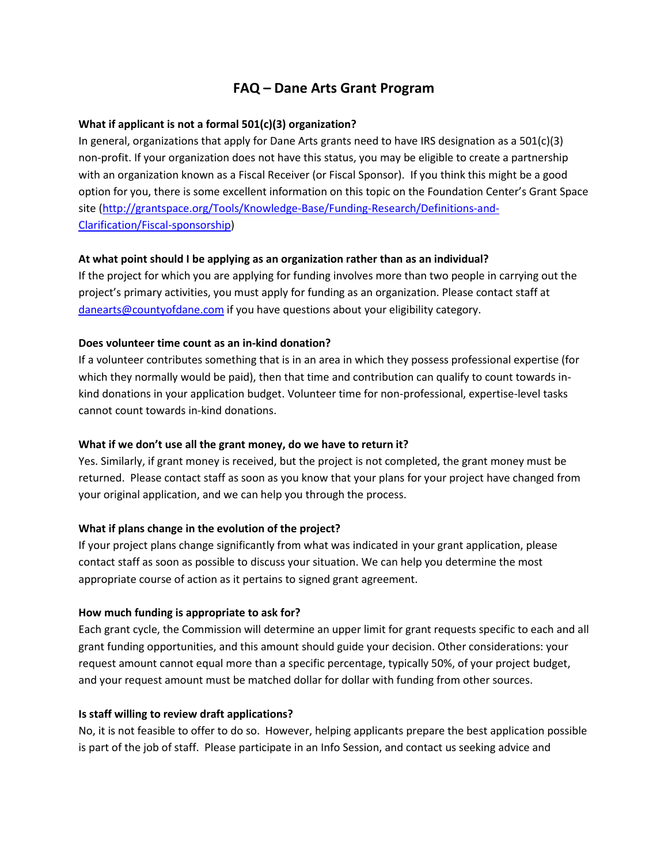# **FAQ – Dane Arts Grant Program**

#### **What if applicant is not a formal 501(c)(3) organization?**

In general, organizations that apply for Dane Arts grants need to have IRS designation as a  $501(c)(3)$ non-profit. If your organization does not have this status, you may be eligible to create a partnership with an organization known as a Fiscal Receiver (or Fiscal Sponsor). If you think this might be a good option for you, there is some excellent information on this topic on the Foundation Center's Grant Space site [\(http://grantspace.org/Tools/Knowledge-Base/Funding-Research/Definitions-and-](http://grantspace.org/Tools/Knowledge-Base/Funding-Research/Definitions-and-Clarification/Fiscal-sponsorship)[Clarification/Fiscal-sponsorship\)](http://grantspace.org/Tools/Knowledge-Base/Funding-Research/Definitions-and-Clarification/Fiscal-sponsorship)

## **At what point should I be applying as an organization rather than as an individual?**

If the project for which you are applying for funding involves more than two people in carrying out the project's primary activities, you must apply for funding as an organization. Please contact staff at [danearts@countyofdane.com](mailto:danearts@countyofdane.com) if you have questions about your eligibility category.

#### **Does volunteer time count as an in-kind donation?**

If a volunteer contributes something that is in an area in which they possess professional expertise (for which they normally would be paid), then that time and contribution can qualify to count towards inkind donations in your application budget. Volunteer time for non-professional, expertise-level tasks cannot count towards in-kind donations.

#### **What if we don't use all the grant money, do we have to return it?**

Yes. Similarly, if grant money is received, but the project is not completed, the grant money must be returned. Please contact staff as soon as you know that your plans for your project have changed from your original application, and we can help you through the process.

#### **What if plans change in the evolution of the project?**

If your project plans change significantly from what was indicated in your grant application, please contact staff as soon as possible to discuss your situation. We can help you determine the most appropriate course of action as it pertains to signed grant agreement.

#### **How much funding is appropriate to ask for?**

Each grant cycle, the Commission will determine an upper limit for grant requests specific to each and all grant funding opportunities, and this amount should guide your decision. Other considerations: your request amount cannot equal more than a specific percentage, typically 50%, of your project budget, and your request amount must be matched dollar for dollar with funding from other sources.

#### **Is staff willing to review draft applications?**

No, it is not feasible to offer to do so. However, helping applicants prepare the best application possible is part of the job of staff. Please participate in an Info Session, and contact us seeking advice and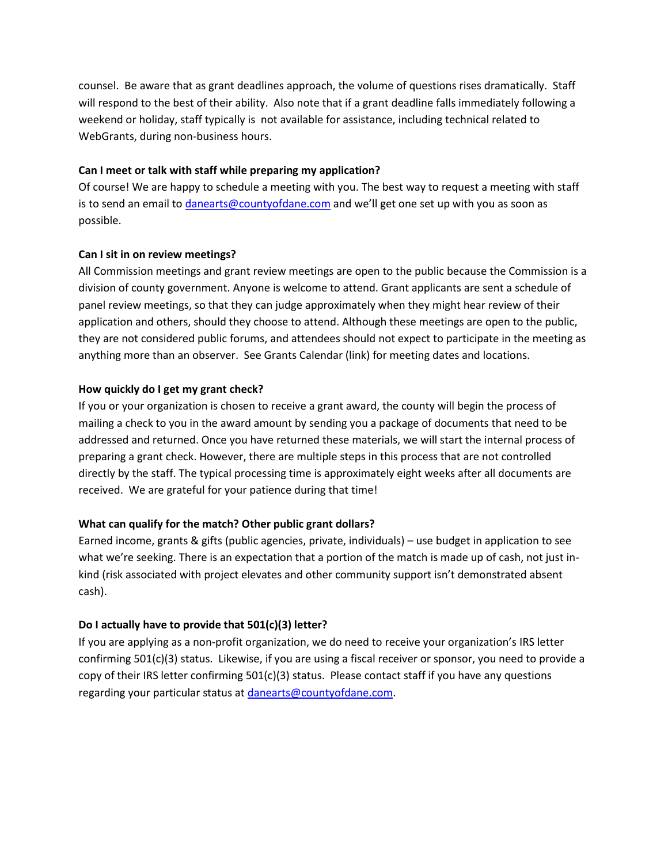counsel. Be aware that as grant deadlines approach, the volume of questions rises dramatically. Staff will respond to the best of their ability. Also note that if a grant deadline falls immediately following a weekend or holiday, staff typically is not available for assistance, including technical related to WebGrants, during non-business hours.

#### **Can I meet or talk with staff while preparing my application?**

Of course! We are happy to schedule a meeting with you. The best way to request a meeting with staff is to send an email t[o danearts@countyofdane.com](mailto:danearts@countyofdane.com) and we'll get one set up with you as soon as possible.

## **Can I sit in on review meetings?**

All Commission meetings and grant review meetings are open to the public because the Commission is a division of county government. Anyone is welcome to attend. Grant applicants are sent a schedule of panel review meetings, so that they can judge approximately when they might hear review of their application and others, should they choose to attend. Although these meetings are open to the public, they are not considered public forums, and attendees should not expect to participate in the meeting as anything more than an observer. See Grants Calendar (link) for meeting dates and locations.

## **How quickly do I get my grant check?**

If you or your organization is chosen to receive a grant award, the county will begin the process of mailing a check to you in the award amount by sending you a package of documents that need to be addressed and returned. Once you have returned these materials, we will start the internal process of preparing a grant check. However, there are multiple steps in this process that are not controlled directly by the staff. The typical processing time is approximately eight weeks after all documents are received. We are grateful for your patience during that time!

# **What can qualify for the match? Other public grant dollars?**

Earned income, grants & gifts (public agencies, private, individuals) – use budget in application to see what we're seeking. There is an expectation that a portion of the match is made up of cash, not just inkind (risk associated with project elevates and other community support isn't demonstrated absent cash).

# **Do I actually have to provide that 501(c)(3) letter?**

If you are applying as a non-profit organization, we do need to receive your organization's IRS letter confirming 501(c)(3) status. Likewise, if you are using a fiscal receiver or sponsor, you need to provide a copy of their IRS letter confirming  $501(c)(3)$  status. Please contact staff if you have any questions regarding your particular status at [danearts@countyofdane.com.](mailto:danearts@countyofdane.com)